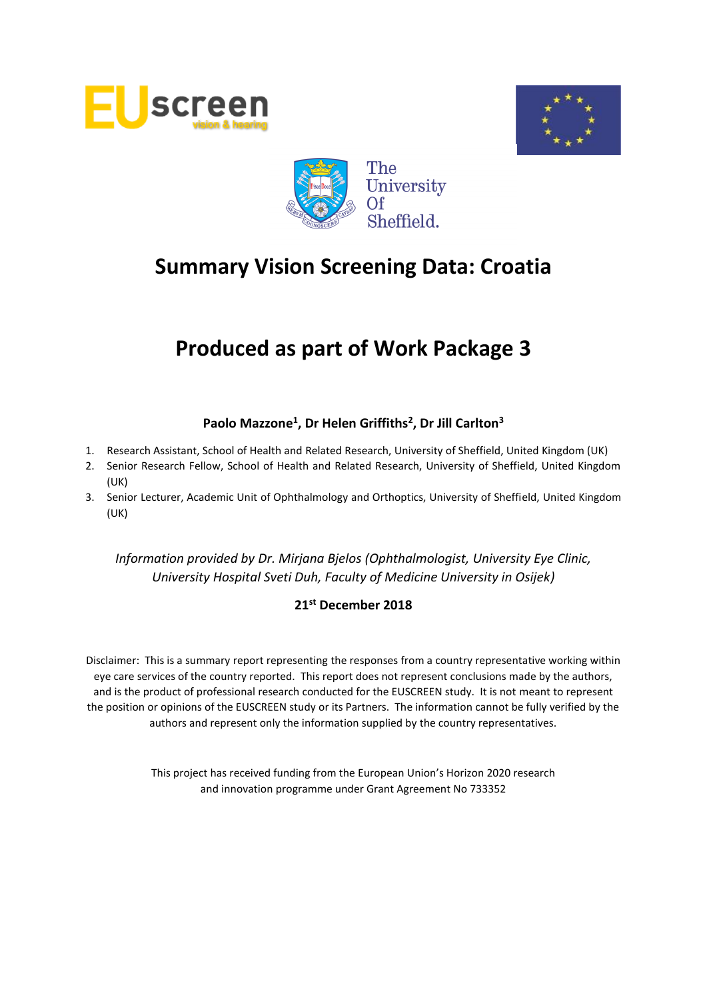





# **Produced as part of Work Package 3**

# **Paolo Mazzone<sup>1</sup> , Dr Helen Griffiths<sup>2</sup> , Dr Jill Carlton<sup>3</sup>**

- 1. Research Assistant, School of Health and Related Research, University of Sheffield, United Kingdom (UK)
- 2. Senior Research Fellow, School of Health and Related Research, University of Sheffield, United Kingdom (UK)
- 3. Senior Lecturer, Academic Unit of Ophthalmology and Orthoptics, University of Sheffield, United Kingdom (UK)

*Information provided by Dr. Mirjana Bjelos (Ophthalmologist, University Eye Clinic, University Hospital Sveti Duh, Faculty of Medicine University in Osijek)*

# **21st December 2018**

Disclaimer: This is a summary report representing the responses from a country representative working within eye care services of the country reported. This report does not represent conclusions made by the authors, and is the product of professional research conducted for the EUSCREEN study. It is not meant to represent the position or opinions of the EUSCREEN study or its Partners. The information cannot be fully verified by the authors and represent only the information supplied by the country representatives.

> This project has received funding from the European Union's Horizon 2020 research and innovation programme under Grant Agreement No 733352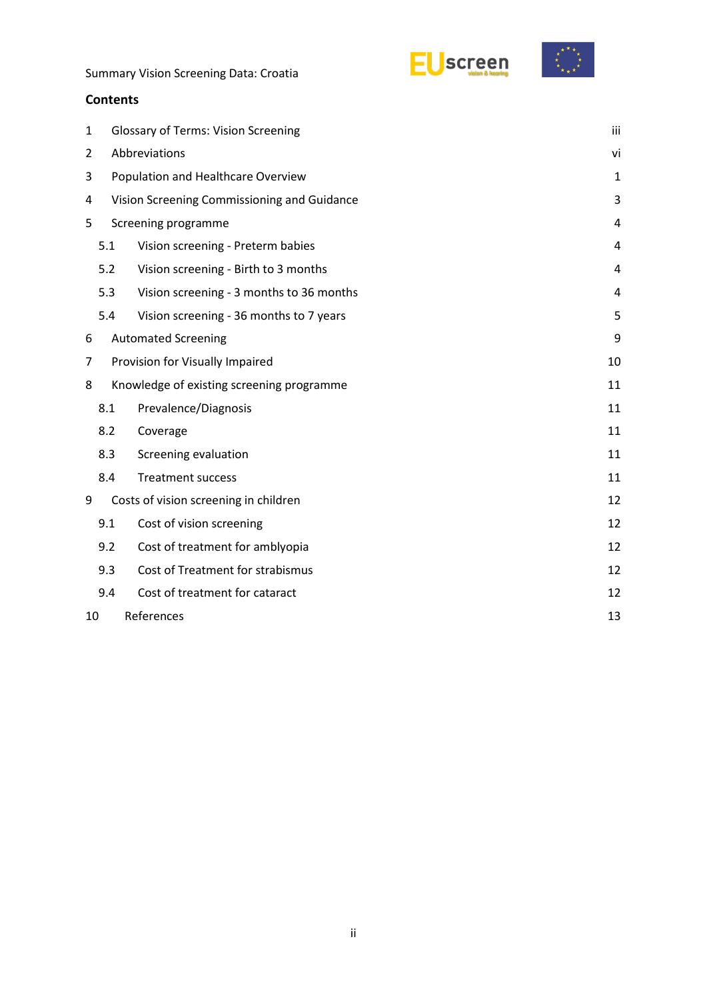



# **Contents**

| $\mathbf{1}$   | <b>Glossary of Terms: Vision Screening</b>  |                                           |                |  |  |  |  |
|----------------|---------------------------------------------|-------------------------------------------|----------------|--|--|--|--|
| $\overline{2}$ | Abbreviations                               |                                           |                |  |  |  |  |
| 3              | Population and Healthcare Overview          |                                           |                |  |  |  |  |
| 4              | Vision Screening Commissioning and Guidance |                                           |                |  |  |  |  |
| 5              |                                             | Screening programme                       |                |  |  |  |  |
|                | 5.1                                         | Vision screening - Preterm babies         |                |  |  |  |  |
|                | 5.2                                         | Vision screening - Birth to 3 months      | $\overline{4}$ |  |  |  |  |
|                | 5.3                                         | Vision screening - 3 months to 36 months  | 4              |  |  |  |  |
|                | 5.4                                         | Vision screening - 36 months to 7 years   | 5              |  |  |  |  |
| 6              |                                             | <b>Automated Screening</b>                | 9              |  |  |  |  |
| 7              |                                             | Provision for Visually Impaired           | 10             |  |  |  |  |
| 8              |                                             | Knowledge of existing screening programme |                |  |  |  |  |
|                | 8.1                                         | Prevalence/Diagnosis                      | 11             |  |  |  |  |
|                | 8.2                                         | Coverage                                  | 11             |  |  |  |  |
|                | 8.3                                         | Screening evaluation                      | 11             |  |  |  |  |
|                | 8.4                                         | <b>Treatment success</b>                  | 11             |  |  |  |  |
| 9              |                                             | Costs of vision screening in children     | 12             |  |  |  |  |
|                | 9.1                                         | Cost of vision screening                  | 12             |  |  |  |  |
|                | 9.2                                         | Cost of treatment for amblyopia           | 12             |  |  |  |  |
|                | 9.3                                         | Cost of Treatment for strabismus          | 12             |  |  |  |  |
|                | 9.4                                         | Cost of treatment for cataract            | 12             |  |  |  |  |
| 10             | References<br>13                            |                                           |                |  |  |  |  |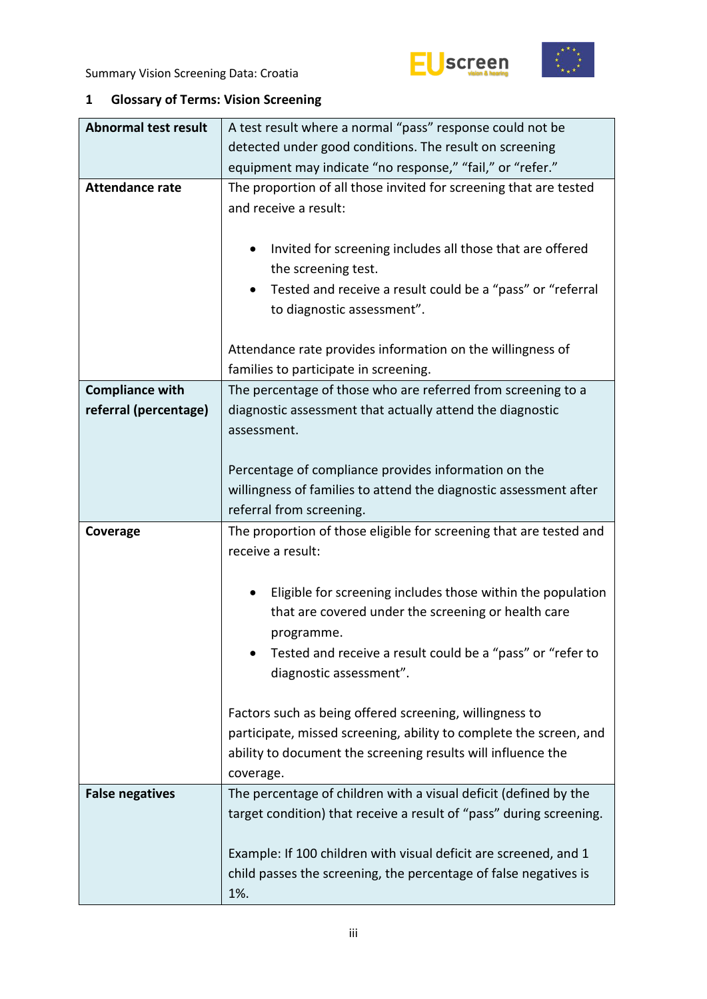



# <span id="page-2-0"></span>**1 Glossary of Terms: Vision Screening**

| <b>Abnormal test result</b> | A test result where a normal "pass" response could not be                                                                            |  |  |  |  |  |
|-----------------------------|--------------------------------------------------------------------------------------------------------------------------------------|--|--|--|--|--|
|                             | detected under good conditions. The result on screening                                                                              |  |  |  |  |  |
|                             | equipment may indicate "no response," "fail," or "refer."                                                                            |  |  |  |  |  |
| <b>Attendance rate</b>      | The proportion of all those invited for screening that are tested                                                                    |  |  |  |  |  |
|                             | and receive a result:                                                                                                                |  |  |  |  |  |
|                             |                                                                                                                                      |  |  |  |  |  |
|                             | Invited for screening includes all those that are offered<br>٠                                                                       |  |  |  |  |  |
|                             | the screening test.                                                                                                                  |  |  |  |  |  |
|                             | Tested and receive a result could be a "pass" or "referral                                                                           |  |  |  |  |  |
|                             | to diagnostic assessment".                                                                                                           |  |  |  |  |  |
|                             |                                                                                                                                      |  |  |  |  |  |
|                             | Attendance rate provides information on the willingness of                                                                           |  |  |  |  |  |
|                             | families to participate in screening.                                                                                                |  |  |  |  |  |
| <b>Compliance with</b>      | The percentage of those who are referred from screening to a                                                                         |  |  |  |  |  |
| referral (percentage)       | diagnostic assessment that actually attend the diagnostic                                                                            |  |  |  |  |  |
|                             | assessment.                                                                                                                          |  |  |  |  |  |
|                             |                                                                                                                                      |  |  |  |  |  |
|                             | Percentage of compliance provides information on the                                                                                 |  |  |  |  |  |
|                             | willingness of families to attend the diagnostic assessment after                                                                    |  |  |  |  |  |
|                             | referral from screening.                                                                                                             |  |  |  |  |  |
| Coverage                    | The proportion of those eligible for screening that are tested and                                                                   |  |  |  |  |  |
|                             | receive a result:                                                                                                                    |  |  |  |  |  |
|                             |                                                                                                                                      |  |  |  |  |  |
|                             | Eligible for screening includes those within the population                                                                          |  |  |  |  |  |
|                             | that are covered under the screening or health care                                                                                  |  |  |  |  |  |
|                             | programme.                                                                                                                           |  |  |  |  |  |
|                             | Tested and receive a result could be a "pass" or "refer to                                                                           |  |  |  |  |  |
|                             | diagnostic assessment".                                                                                                              |  |  |  |  |  |
|                             |                                                                                                                                      |  |  |  |  |  |
|                             | Factors such as being offered screening, willingness to                                                                              |  |  |  |  |  |
|                             | participate, missed screening, ability to complete the screen, and                                                                   |  |  |  |  |  |
|                             | ability to document the screening results will influence the                                                                         |  |  |  |  |  |
|                             | coverage.                                                                                                                            |  |  |  |  |  |
| <b>False negatives</b>      | The percentage of children with a visual deficit (defined by the                                                                     |  |  |  |  |  |
|                             |                                                                                                                                      |  |  |  |  |  |
|                             | target condition) that receive a result of "pass" during screening.                                                                  |  |  |  |  |  |
|                             |                                                                                                                                      |  |  |  |  |  |
|                             | Example: If 100 children with visual deficit are screened, and 1<br>child passes the screening, the percentage of false negatives is |  |  |  |  |  |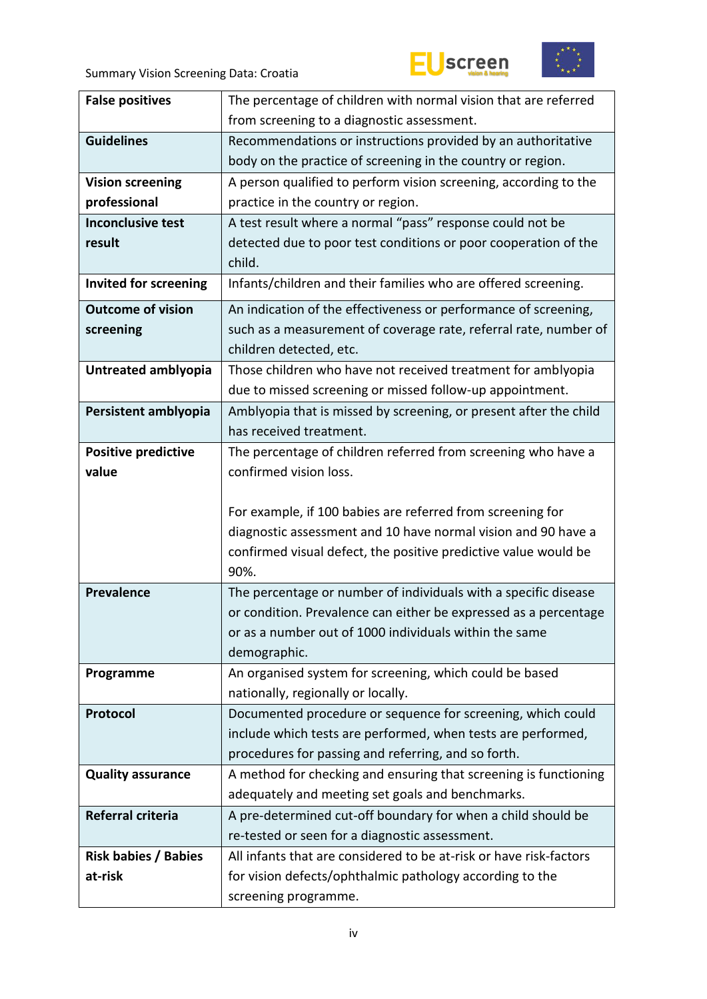



| <b>False positives</b>       | The percentage of children with normal vision that are referred                  |  |  |  |  |
|------------------------------|----------------------------------------------------------------------------------|--|--|--|--|
|                              | from screening to a diagnostic assessment.                                       |  |  |  |  |
| <b>Guidelines</b>            | Recommendations or instructions provided by an authoritative                     |  |  |  |  |
|                              | body on the practice of screening in the country or region.                      |  |  |  |  |
| <b>Vision screening</b>      | A person qualified to perform vision screening, according to the                 |  |  |  |  |
| professional                 | practice in the country or region.                                               |  |  |  |  |
| <b>Inconclusive test</b>     | A test result where a normal "pass" response could not be                        |  |  |  |  |
| result                       | detected due to poor test conditions or poor cooperation of the                  |  |  |  |  |
|                              | child.                                                                           |  |  |  |  |
| <b>Invited for screening</b> | Infants/children and their families who are offered screening.                   |  |  |  |  |
| <b>Outcome of vision</b>     | An indication of the effectiveness or performance of screening,                  |  |  |  |  |
| screening                    | such as a measurement of coverage rate, referral rate, number of                 |  |  |  |  |
|                              | children detected, etc.                                                          |  |  |  |  |
| Untreated amblyopia          | Those children who have not received treatment for amblyopia                     |  |  |  |  |
|                              | due to missed screening or missed follow-up appointment.                         |  |  |  |  |
| Persistent amblyopia         | Amblyopia that is missed by screening, or present after the child                |  |  |  |  |
|                              | has received treatment.                                                          |  |  |  |  |
| <b>Positive predictive</b>   | The percentage of children referred from screening who have a                    |  |  |  |  |
| value                        | confirmed vision loss.                                                           |  |  |  |  |
|                              |                                                                                  |  |  |  |  |
|                              | For example, if 100 babies are referred from screening for                       |  |  |  |  |
|                              | diagnostic assessment and 10 have normal vision and 90 have a                    |  |  |  |  |
|                              | confirmed visual defect, the positive predictive value would be                  |  |  |  |  |
|                              |                                                                                  |  |  |  |  |
|                              | 90%.                                                                             |  |  |  |  |
| <b>Prevalence</b>            | The percentage or number of individuals with a specific disease                  |  |  |  |  |
|                              | or condition. Prevalence can either be expressed as a percentage                 |  |  |  |  |
|                              | or as a number out of 1000 individuals within the same                           |  |  |  |  |
|                              | demographic.                                                                     |  |  |  |  |
| Programme                    | An organised system for screening, which could be based                          |  |  |  |  |
|                              | nationally, regionally or locally.                                               |  |  |  |  |
| Protocol                     | Documented procedure or sequence for screening, which could                      |  |  |  |  |
|                              | include which tests are performed, when tests are performed,                     |  |  |  |  |
|                              | procedures for passing and referring, and so forth.                              |  |  |  |  |
| <b>Quality assurance</b>     | A method for checking and ensuring that screening is functioning                 |  |  |  |  |
|                              | adequately and meeting set goals and benchmarks.                                 |  |  |  |  |
| Referral criteria            | A pre-determined cut-off boundary for when a child should be                     |  |  |  |  |
|                              | re-tested or seen for a diagnostic assessment.                                   |  |  |  |  |
| <b>Risk babies / Babies</b>  | All infants that are considered to be at-risk or have risk-factors               |  |  |  |  |
| at-risk                      | for vision defects/ophthalmic pathology according to the<br>screening programme. |  |  |  |  |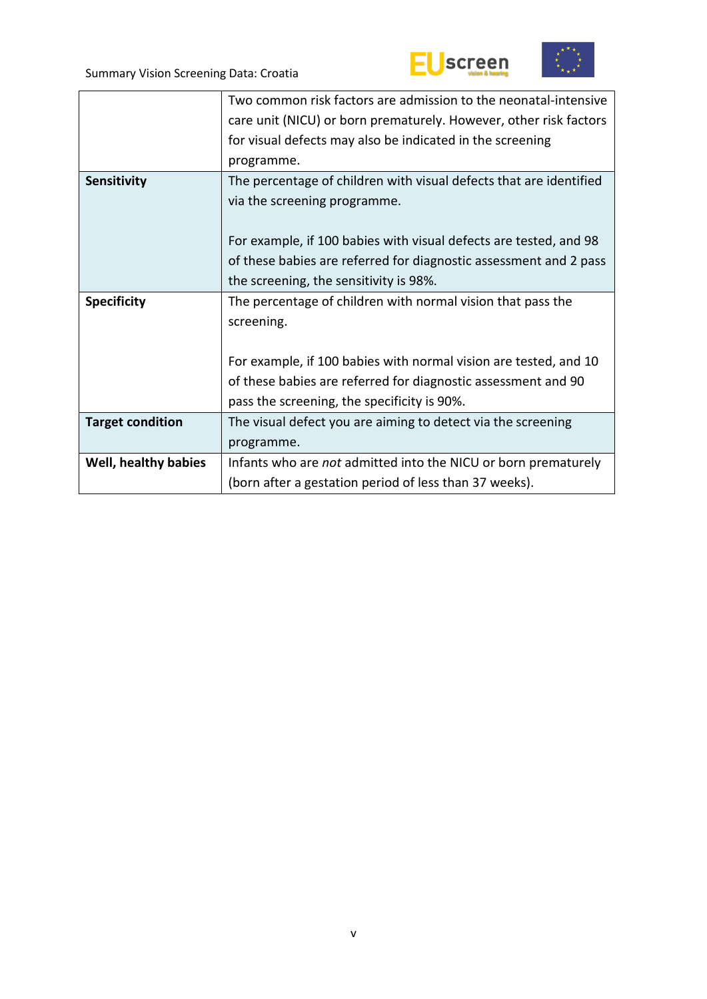



|                             | Two common risk factors are admission to the neonatal-intensive    |
|-----------------------------|--------------------------------------------------------------------|
|                             | care unit (NICU) or born prematurely. However, other risk factors  |
|                             | for visual defects may also be indicated in the screening          |
|                             | programme.                                                         |
| Sensitivity                 | The percentage of children with visual defects that are identified |
|                             | via the screening programme.                                       |
|                             |                                                                    |
|                             | For example, if 100 babies with visual defects are tested, and 98  |
|                             | of these babies are referred for diagnostic assessment and 2 pass  |
|                             | the screening, the sensitivity is 98%.                             |
| <b>Specificity</b>          | The percentage of children with normal vision that pass the        |
|                             | screening.                                                         |
|                             |                                                                    |
|                             | For example, if 100 babies with normal vision are tested, and 10   |
|                             | of these babies are referred for diagnostic assessment and 90      |
|                             | pass the screening, the specificity is 90%.                        |
| <b>Target condition</b>     | The visual defect you are aiming to detect via the screening       |
|                             | programme.                                                         |
| <b>Well, healthy babies</b> | Infants who are not admitted into the NICU or born prematurely     |
|                             | (born after a gestation period of less than 37 weeks).             |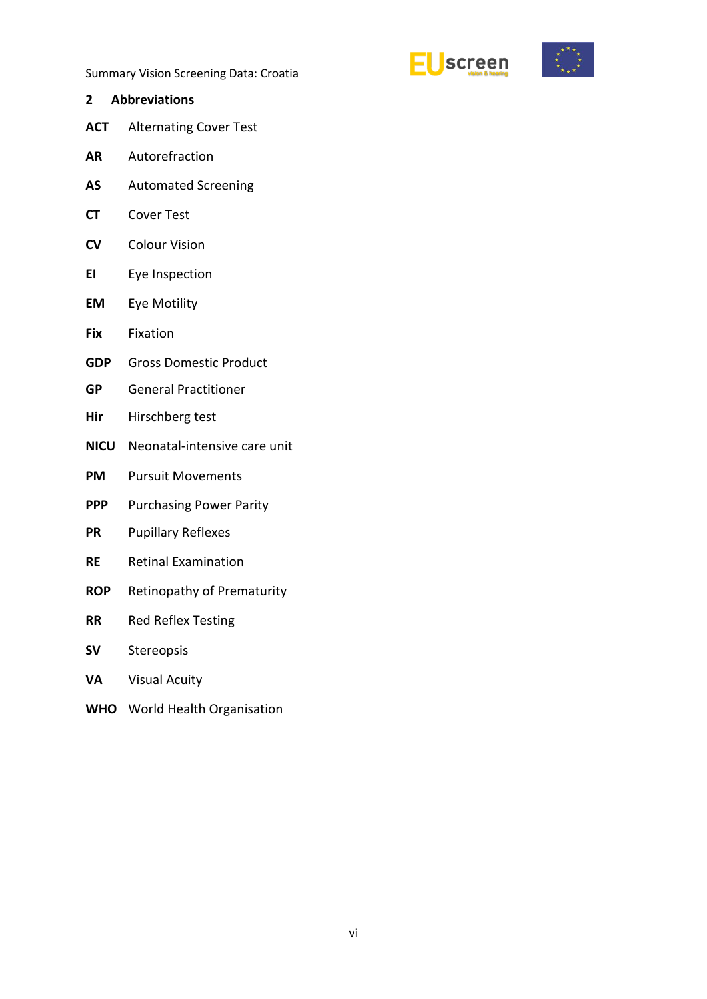



- <span id="page-5-0"></span>**2 Abbreviations ACT** Alternating Cover Test
- **AR** Autorefraction
- **AS** Automated Screening
- **CT** Cover Test
- **CV** Colour Vision
- **EI** Eye Inspection
- **EM** Eye Motility
- **Fix** Fixation
- **GDP** Gross Domestic Product
- **GP** General Practitioner
- **Hir** Hirschberg test
- **NICU** Neonatal-intensive care unit
- **PM** Pursuit Movements
- **PPP** Purchasing Power Parity
- **PR** Pupillary Reflexes
- **RE** Retinal Examination
- **ROP** Retinopathy of Prematurity
- **RR** Red Reflex Testing
- **SV** Stereopsis
- **VA** Visual Acuity
- **WHO** World Health Organisation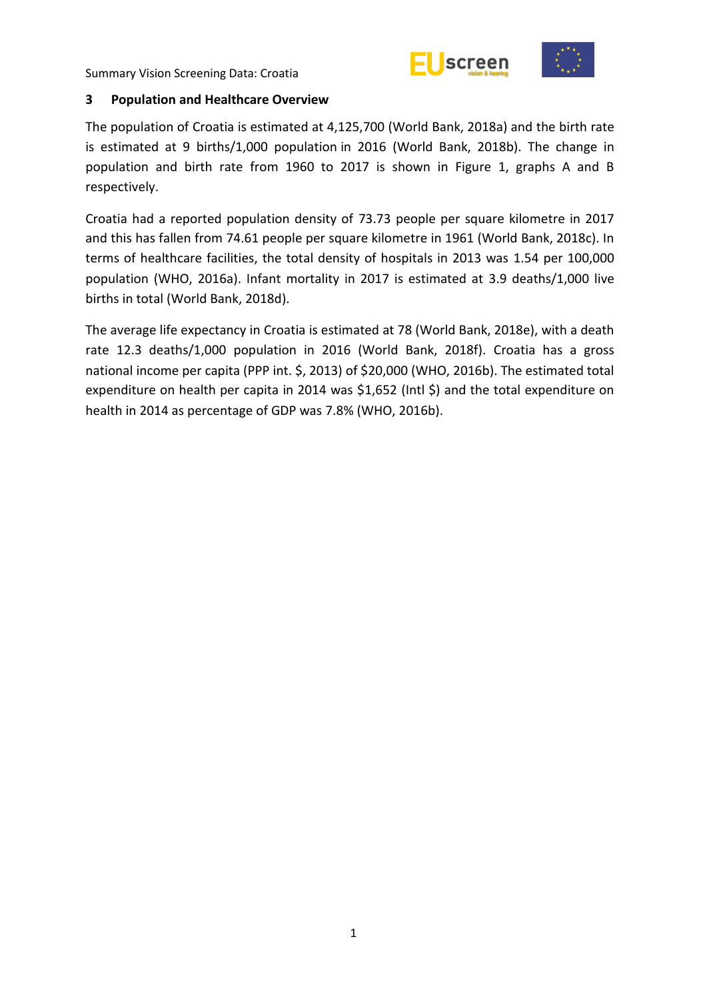



#### <span id="page-6-0"></span>**3 Population and Healthcare Overview**

The population of Croatia is estimated at 4,125,700 (World Bank, 2018a) and the birth rate is estimated at 9 births/1,000 population in 2016 (World Bank, 2018b). The change in population and birth rate from 1960 to 2017 is shown in Figure 1, graphs A and B respectively.

Croatia had a reported population density of 73.73 people per square kilometre in 2017 and this has fallen from 74.61 people per square kilometre in 1961 (World Bank, 2018c). In terms of healthcare facilities, the total density of hospitals in 2013 was 1.54 per 100,000 population (WHO, 2016a). Infant mortality in 2017 is estimated at 3.9 deaths/1,000 live births in total (World Bank, 2018d).

The average life expectancy in Croatia is estimated at 78 (World Bank, 2018e), with a death rate 12.3 deaths/1,000 population in 2016 (World Bank, 2018f). Croatia has a gross national income per capita (PPP int. \$, 2013) of \$20,000 (WHO, 2016b). The estimated total expenditure on health per capita in 2014 was \$1,652 (Intl \$) and the total expenditure on health in 2014 as percentage of GDP was 7.8% (WHO, 2016b).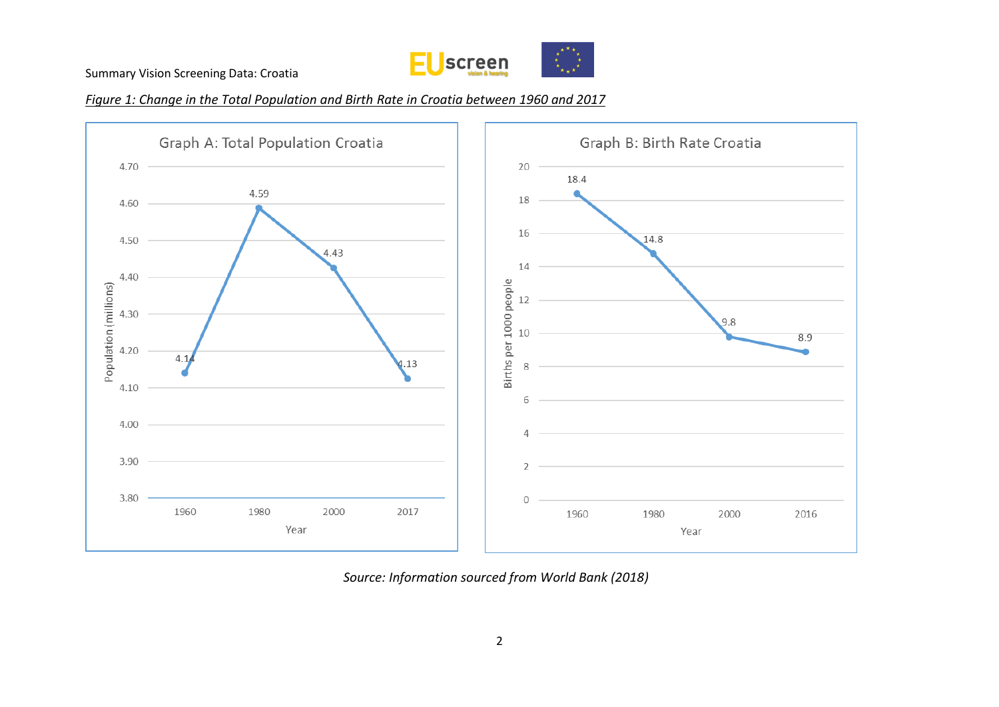

*Figure 1: Change in the Total Population and Birth Rate in Croatia between 1960 and 2017*



*Source: Information sourced from World Bank (2018)*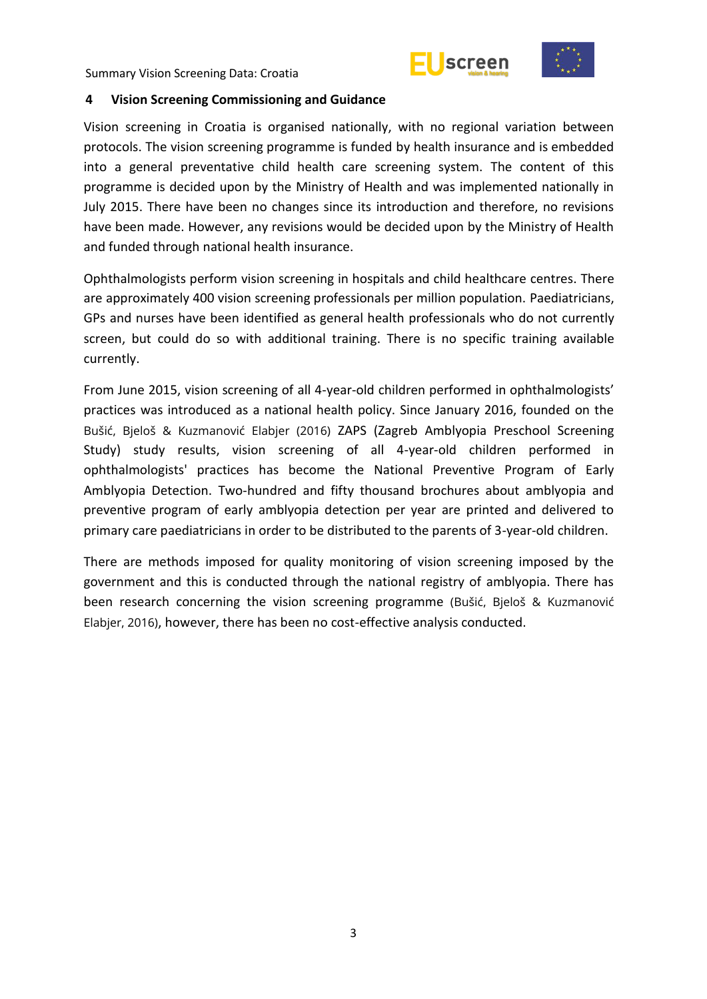



#### <span id="page-8-0"></span>**4 Vision Screening Commissioning and Guidance**

Vision screening in Croatia is organised nationally, with no regional variation between protocols. The vision screening programme is funded by health insurance and is embedded into a general preventative child health care screening system. The content of this programme is decided upon by the Ministry of Health and was implemented nationally in July 2015. There have been no changes since its introduction and therefore, no revisions have been made. However, any revisions would be decided upon by the Ministry of Health and funded through national health insurance.

Ophthalmologists perform vision screening in hospitals and child healthcare centres. There are approximately 400 vision screening professionals per million population. Paediatricians, GPs and nurses have been identified as general health professionals who do not currently screen, but could do so with additional training. There is no specific training available currently.

From June 2015, vision screening of all 4-year-old children performed in ophthalmologists' practices was introduced as a national health policy. Since January 2016, founded on the Bušić, Bjeloš & Kuzmanović Elabjer (2016) ZAPS (Zagreb Amblyopia Preschool Screening Study) study results, vision screening of all 4-year-old children performed in ophthalmologists' practices has become the National Preventive Program of Early Amblyopia Detection. Two-hundred and fifty thousand brochures about amblyopia and preventive program of early amblyopia detection per year are printed and delivered to primary care paediatricians in order to be distributed to the parents of 3-year-old children.

There are methods imposed for quality monitoring of vision screening imposed by the government and this is conducted through the national registry of amblyopia. There has been research concerning the vision screening programme (Bušić, Bjeloš & Kuzmanović Elabjer, 2016), however, there has been no cost-effective analysis conducted.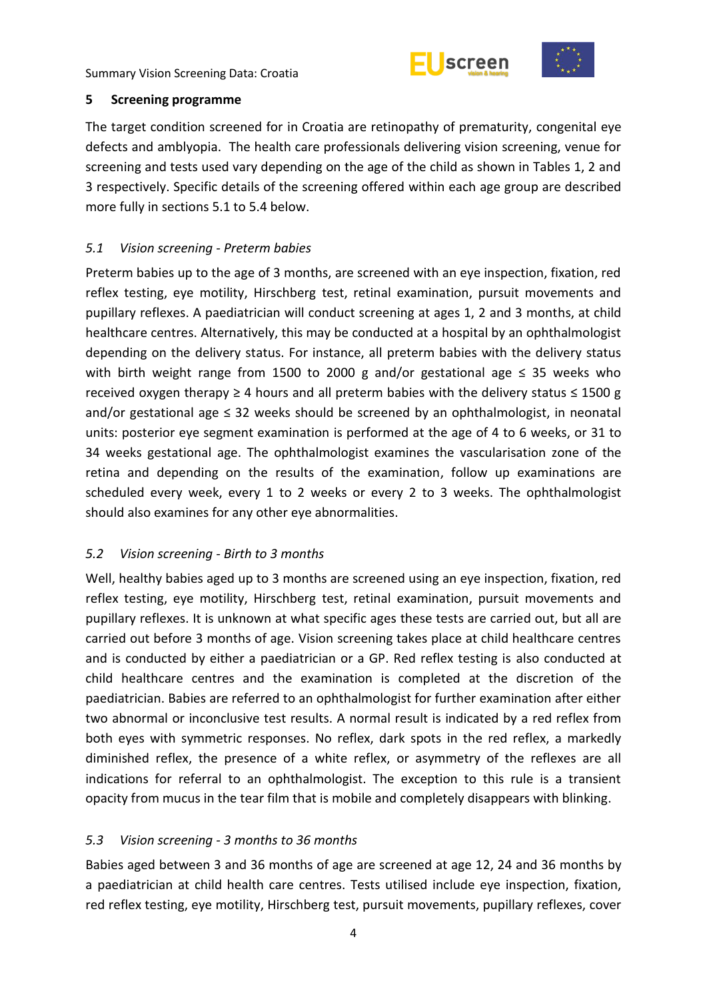



#### <span id="page-9-0"></span>**5 Screening programme**

The target condition screened for in Croatia are retinopathy of prematurity, congenital eye defects and amblyopia. The health care professionals delivering vision screening, venue for screening and tests used vary depending on the age of the child as shown in Tables 1, 2 and 3 respectively. Specific details of the screening offered within each age group are described more fully in sections 5.1 to 5.4 below.

## <span id="page-9-1"></span>*5.1 Vision screening - Preterm babies*

Preterm babies up to the age of 3 months, are screened with an eye inspection, fixation, red reflex testing, eye motility, Hirschberg test, retinal examination, pursuit movements and pupillary reflexes. A paediatrician will conduct screening at ages 1, 2 and 3 months, at child healthcare centres. Alternatively, this may be conducted at a hospital by an ophthalmologist depending on the delivery status. For instance, all preterm babies with the delivery status with birth weight range from 1500 to 2000 g and/or gestational age  $\leq$  35 weeks who received oxygen therapy  $\geq 4$  hours and all preterm babies with the delivery status  $\leq 1500$  g and/or gestational age ≤ 32 weeks should be screened by an ophthalmologist, in neonatal units: posterior eye segment examination is performed at the age of 4 to 6 weeks, or 31 to 34 weeks gestational age. The ophthalmologist examines the vascularisation zone of the retina and depending on the results of the examination, follow up examinations are scheduled every week, every 1 to 2 weeks or every 2 to 3 weeks. The ophthalmologist should also examines for any other eye abnormalities.

# <span id="page-9-2"></span>*5.2 Vision screening - Birth to 3 months*

Well, healthy babies aged up to 3 months are screened using an eye inspection, fixation, red reflex testing, eye motility, Hirschberg test, retinal examination, pursuit movements and pupillary reflexes. It is unknown at what specific ages these tests are carried out, but all are carried out before 3 months of age. Vision screening takes place at child healthcare centres and is conducted by either a paediatrician or a GP. Red reflex testing is also conducted at child healthcare centres and the examination is completed at the discretion of the paediatrician. Babies are referred to an ophthalmologist for further examination after either two abnormal or inconclusive test results. A normal result is indicated by a red reflex from both eyes with symmetric responses. No reflex, dark spots in the red reflex, a markedly diminished reflex, the presence of a white reflex, or asymmetry of the reflexes are all indications for referral to an ophthalmologist. The exception to this rule is a transient opacity from mucus in the tear film that is mobile and completely disappears with blinking.

# <span id="page-9-3"></span>*5.3 Vision screening - 3 months to 36 months*

Babies aged between 3 and 36 months of age are screened at age 12, 24 and 36 months by a paediatrician at child health care centres. Tests utilised include eye inspection, fixation, red reflex testing, eye motility, Hirschberg test, pursuit movements, pupillary reflexes, cover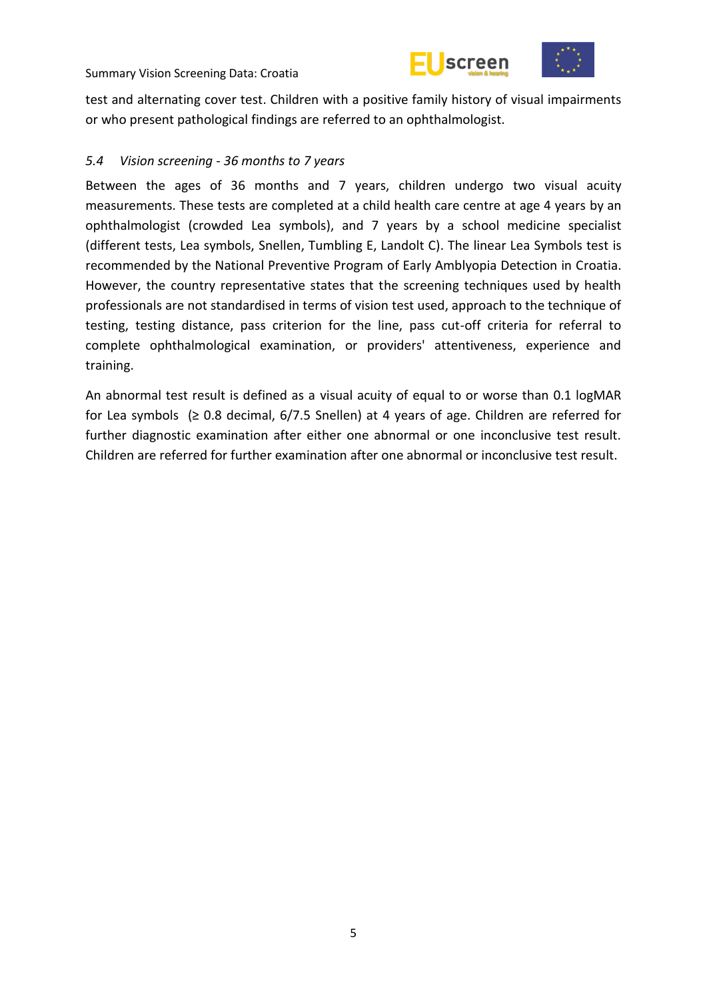



test and alternating cover test. Children with a positive family history of visual impairments or who present pathological findings are referred to an ophthalmologist.

## <span id="page-10-0"></span>*5.4 Vision screening - 36 months to 7 years*

Between the ages of 36 months and 7 years, children undergo two visual acuity measurements. These tests are completed at a child health care centre at age 4 years by an ophthalmologist (crowded Lea symbols), and 7 years by a school medicine specialist (different tests, Lea symbols, Snellen, Tumbling E, Landolt C). The linear Lea Symbols test is recommended by the National Preventive Program of Early Amblyopia Detection in Croatia. However, the country representative states that the screening techniques used by health professionals are not standardised in terms of vision test used, approach to the technique of testing, testing distance, pass criterion for the line, pass cut-off criteria for referral to complete ophthalmological examination, or providers' attentiveness, experience and training.

An abnormal test result is defined as a visual acuity of equal to or worse than 0.1 logMAR for Lea symbols ( $\geq$  0.8 decimal, 6/7.5 Snellen) at 4 years of age. Children are referred for further diagnostic examination after either one abnormal or one inconclusive test result. Children are referred for further examination after one abnormal or inconclusive test result.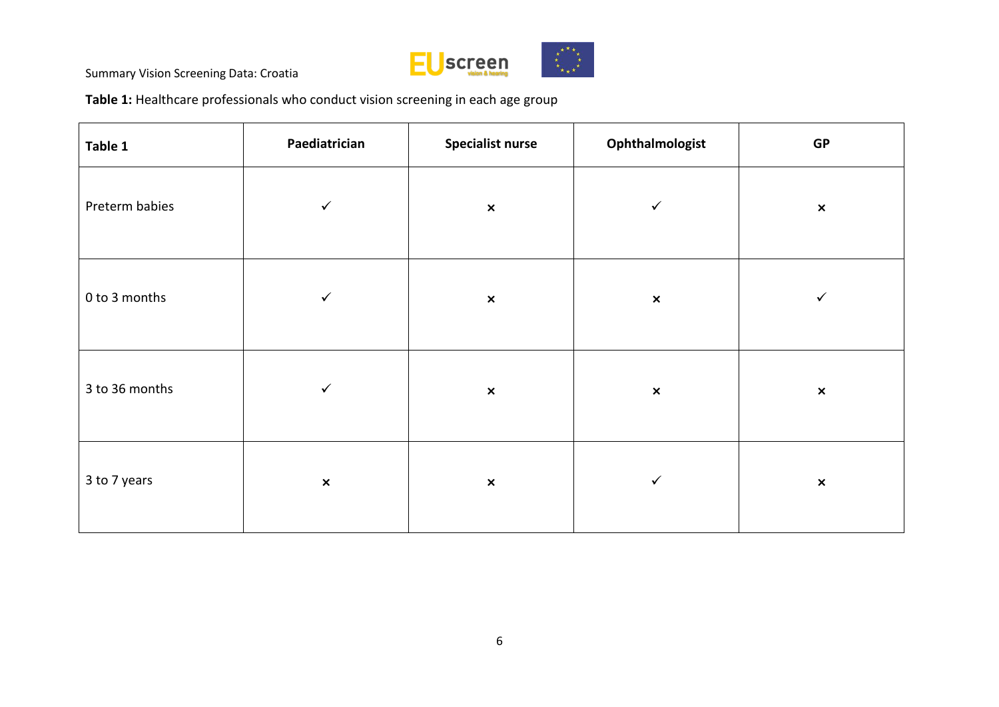

**Table 1:** Healthcare professionals who conduct vision screening in each age group

| Table 1        | Paediatrician  | <b>Specialist nurse</b> | Ophthalmologist | GP                        |
|----------------|----------------|-------------------------|-----------------|---------------------------|
| Preterm babies | $\checkmark$   | $\pmb{\times}$          | $\checkmark$    | $\boldsymbol{\mathsf{x}}$ |
| 0 to 3 months  | $\checkmark$   | $\pmb{\times}$          | $\pmb{\times}$  | $\checkmark$              |
| 3 to 36 months | $\checkmark$   | $\pmb{\times}$          | $\pmb{\times}$  | $\pmb{\times}$            |
| 3 to 7 years   | $\pmb{\times}$ | $\pmb{\times}$          | ✓               | $\pmb{\times}$            |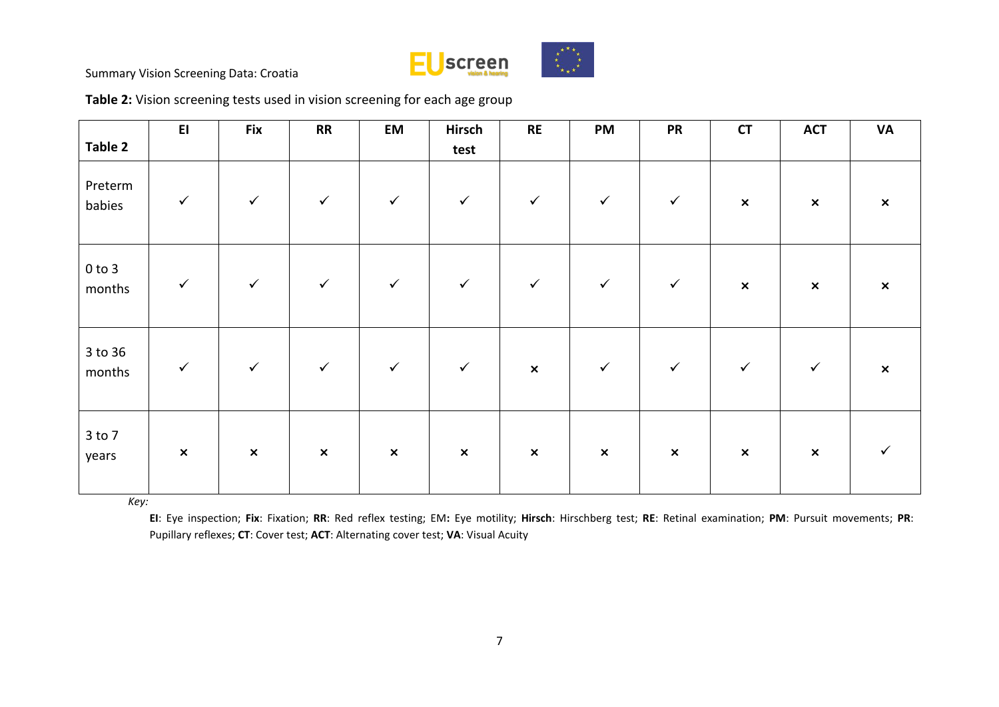

| Table 2              | E1             | Fix            | <b>RR</b>      | EM             | Hirsch<br>test | <b>RE</b>      | PM             | <b>PR</b>      | <b>CT</b>      | <b>ACT</b>     | <b>VA</b>      |
|----------------------|----------------|----------------|----------------|----------------|----------------|----------------|----------------|----------------|----------------|----------------|----------------|
| Preterm<br>babies    | $\checkmark$   | $\checkmark$   | $\checkmark$   | $\checkmark$   | $\checkmark$   | $\checkmark$   | $\checkmark$   | $\checkmark$   | $\pmb{\times}$ | $\pmb{\times}$ | $\pmb{\times}$ |
| $0$ to $3$<br>months | $\checkmark$   | $\checkmark$   | $\checkmark$   | $\checkmark$   | $\checkmark$   | $\checkmark$   | $\checkmark$   | $\checkmark$   | $\pmb{\times}$ | $\pmb{\times}$ | $\pmb{\times}$ |
| 3 to 36<br>months    | $\checkmark$   | $\checkmark$   | $\checkmark$   | $\checkmark$   | $\checkmark$   | $\pmb{\times}$ | $\checkmark$   | $\checkmark$   | $\checkmark$   | $\checkmark$   | $\pmb{\times}$ |
| $3$ to $7$<br>years  | $\pmb{\times}$ | $\pmb{\times}$ | $\pmb{\times}$ | $\pmb{\times}$ | $\pmb{\times}$ | $\pmb{\times}$ | $\pmb{\times}$ | $\pmb{\times}$ | $\pmb{\times}$ | $\pmb{\times}$ | ✓              |

*Key:* 

**EI**: Eye inspection; **Fix**: Fixation; **RR**: Red reflex testing; EM**:** Eye motility; **Hirsch**: Hirschberg test; **RE**: Retinal examination; **PM**: Pursuit movements; **PR**: Pupillary reflexes; **CT**: Cover test; **ACT**: Alternating cover test; **VA**: Visual Acuity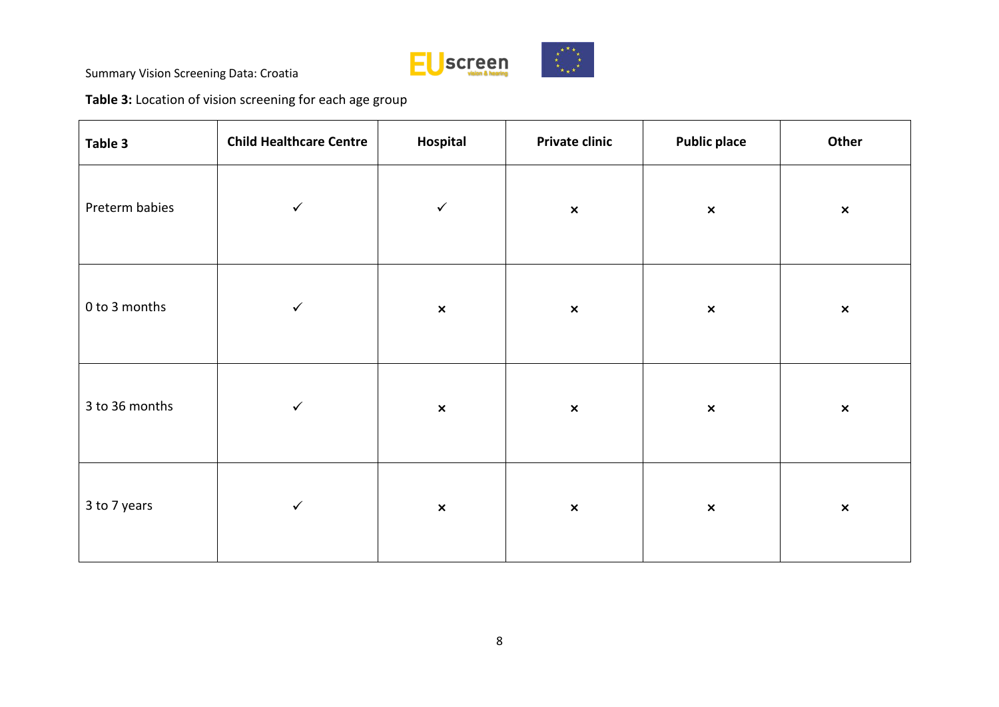

**Table 3:** Location of vision screening for each age group

| Table 3        | <b>Child Healthcare Centre</b> | Hospital       | <b>Private clinic</b> | <b>Public place</b> | Other          |
|----------------|--------------------------------|----------------|-----------------------|---------------------|----------------|
| Preterm babies | $\checkmark$                   | $\checkmark$   | $\pmb{\times}$        | $\pmb{\times}$      | $\pmb{\times}$ |
| 0 to 3 months  | $\checkmark$                   | $\pmb{\times}$ | $\pmb{\times}$        | $\pmb{\times}$      | $\pmb{\times}$ |
| 3 to 36 months | $\checkmark$                   | $\pmb{\times}$ | $\pmb{\times}$        | $\pmb{\times}$      | $\pmb{\times}$ |
| 3 to 7 years   | $\checkmark$                   | $\pmb{\times}$ | $\pmb{\times}$        | $\pmb{\times}$      | $\pmb{\times}$ |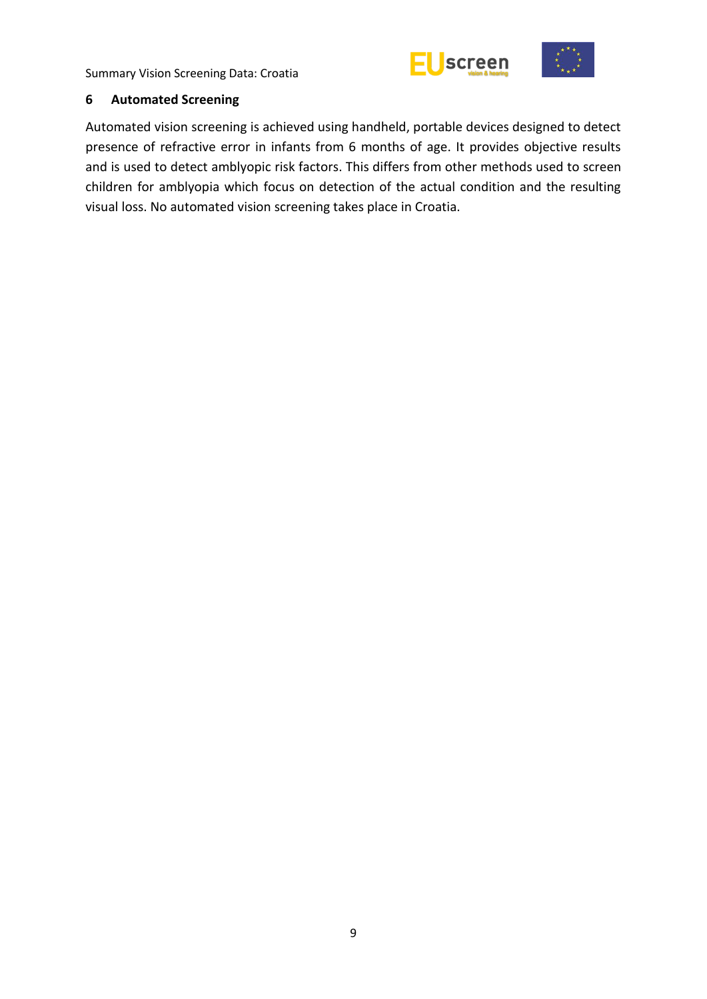



#### <span id="page-14-0"></span>**6 Automated Screening**

Automated vision screening is achieved using handheld, portable devices designed to detect presence of refractive error in infants from 6 months of age. It provides objective results and is used to detect amblyopic risk factors. This differs from other methods used to screen children for amblyopia which focus on detection of the actual condition and the resulting visual loss. No automated vision screening takes place in Croatia.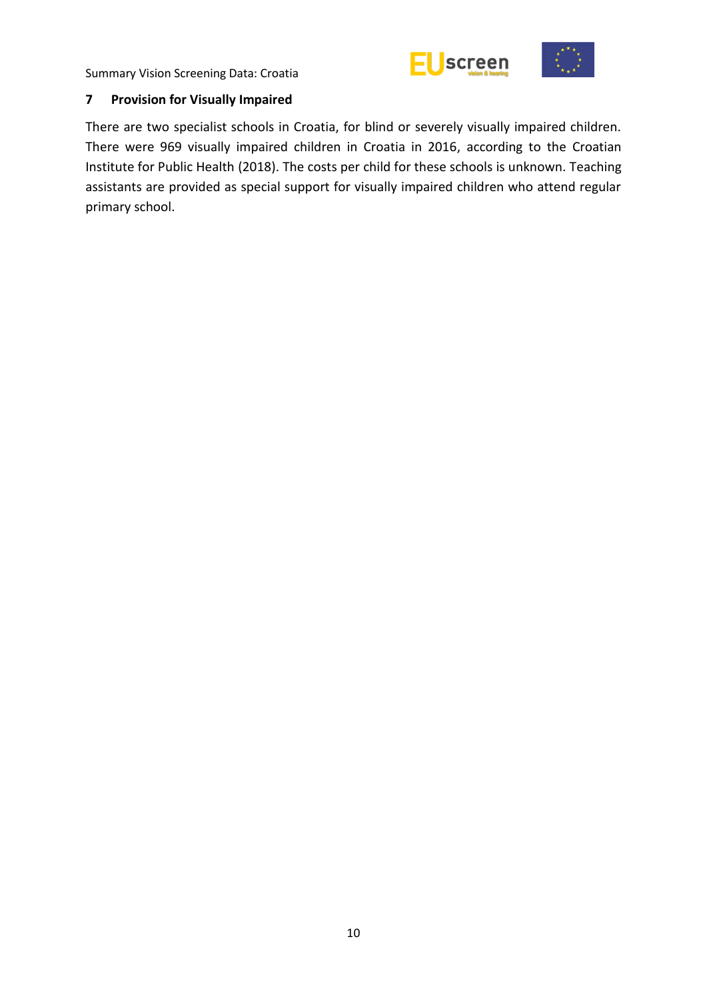



## <span id="page-15-0"></span>**7 Provision for Visually Impaired**

There are two specialist schools in Croatia, for blind or severely visually impaired children. There were 969 visually impaired children in Croatia in 2016, according to the Croatian Institute for Public Health (2018). The costs per child for these schools is unknown. Teaching assistants are provided as special support for visually impaired children who attend regular primary school.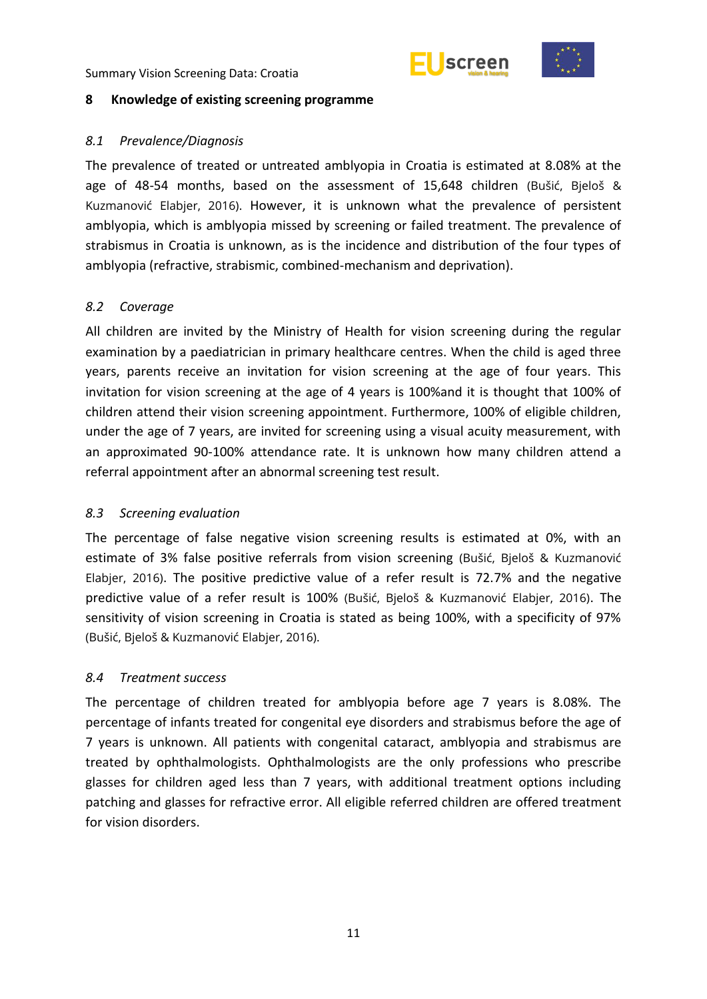



#### <span id="page-16-0"></span>**8 Knowledge of existing screening programme**

## <span id="page-16-1"></span>*8.1 Prevalence/Diagnosis*

The prevalence of treated or untreated amblyopia in Croatia is estimated at 8.08% at the age of 48-54 months, based on the assessment of 15,648 children (Bušić, Bjeloš & Kuzmanović Elabjer, 2016). However, it is unknown what the prevalence of persistent amblyopia, which is amblyopia missed by screening or failed treatment. The prevalence of strabismus in Croatia is unknown, as is the incidence and distribution of the four types of amblyopia (refractive, strabismic, combined-mechanism and deprivation).

### <span id="page-16-2"></span>*8.2 Coverage*

All children are invited by the Ministry of Health for vision screening during the regular examination by a paediatrician in primary healthcare centres. When the child is aged three years, parents receive an invitation for vision screening at the age of four years. This invitation for vision screening at the age of 4 years is 100%and it is thought that 100% of children attend their vision screening appointment. Furthermore, 100% of eligible children, under the age of 7 years, are invited for screening using a visual acuity measurement, with an approximated 90-100% attendance rate. It is unknown how many children attend a referral appointment after an abnormal screening test result.

# <span id="page-16-3"></span>*8.3 Screening evaluation*

The percentage of false negative vision screening results is estimated at 0%, with an estimate of 3% false positive referrals from vision screening (Bušić, Bjeloš & Kuzmanović Elabjer, 2016). The positive predictive value of a refer result is 72.7% and the negative predictive value of a refer result is 100% (Bušić, Bjeloš & Kuzmanović Elabjer, 2016). The sensitivity of vision screening in Croatia is stated as being 100%, with a specificity of 97% (Bušić, Bjeloš & Kuzmanović Elabjer, 2016).

# <span id="page-16-4"></span>*8.4 Treatment success*

The percentage of children treated for amblyopia before age 7 years is 8.08%. The percentage of infants treated for congenital eye disorders and strabismus before the age of 7 years is unknown. All patients with congenital cataract, amblyopia and strabismus are treated by ophthalmologists. Ophthalmologists are the only professions who prescribe glasses for children aged less than 7 years, with additional treatment options including patching and glasses for refractive error. All eligible referred children are offered treatment for vision disorders.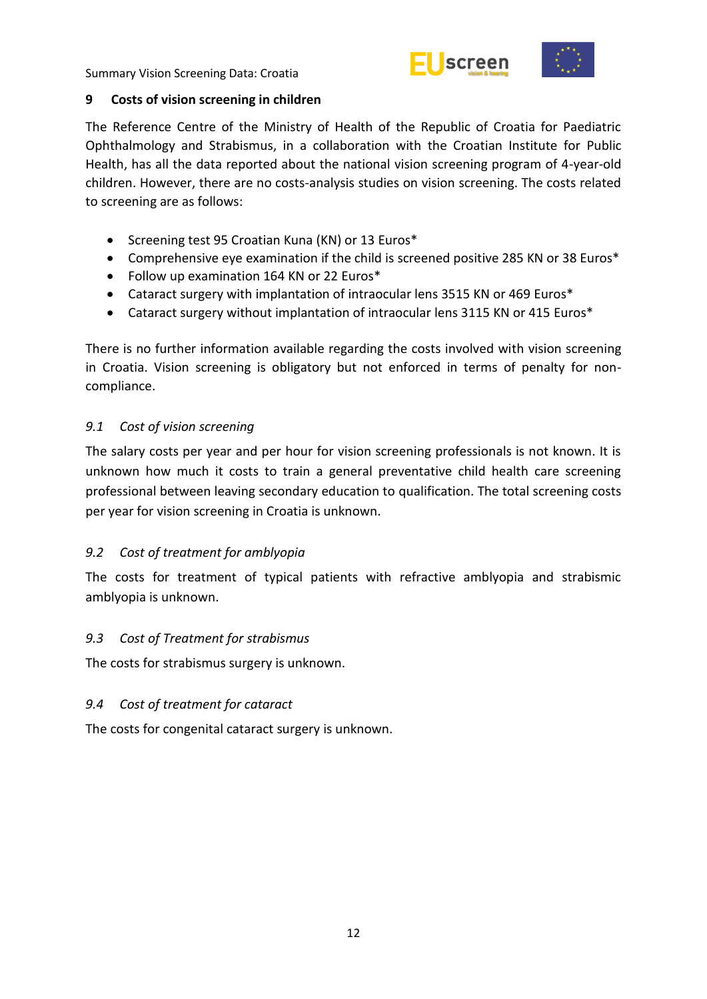



## <span id="page-17-0"></span>**9 Costs of vision screening in children**

The Reference Centre of the Ministry of Health of the Republic of Croatia for Paediatric Ophthalmology and Strabismus, in a collaboration with the Croatian Institute for Public Health, has all the data reported about the national vision screening program of 4-year-old children. However, there are no costs-analysis studies on vision screening. The costs related to screening are as follows:

- Screening test 95 Croatian Kuna (KN) or 13 Euros\*
- Comprehensive eye examination if the child is screened positive 285 KN or 38 Euros\*
- Follow up examination 164 KN or 22 Euros\*
- Cataract surgery with implantation of intraocular lens 3515 KN or 469 Euros\*
- Cataract surgery without implantation of intraocular lens 3115 KN or 415 Euros\*

There is no further information available regarding the costs involved with vision screening in Croatia. Vision screening is obligatory but not enforced in terms of penalty for noncompliance.

# <span id="page-17-1"></span>*9.1 Cost of vision screening*

The salary costs per year and per hour for vision screening professionals is not known. It is unknown how much it costs to train a general preventative child health care screening professional between leaving secondary education to qualification. The total screening costs per year for vision screening in Croatia is unknown.

# <span id="page-17-2"></span>*9.2 Cost of treatment for amblyopia*

The costs for treatment of typical patients with refractive amblyopia and strabismic amblyopia is unknown.

# <span id="page-17-3"></span>*9.3 Cost of Treatment for strabismus*

The costs for strabismus surgery is unknown.

# <span id="page-17-4"></span>*9.4 Cost of treatment for cataract*

The costs for congenital cataract surgery is unknown.